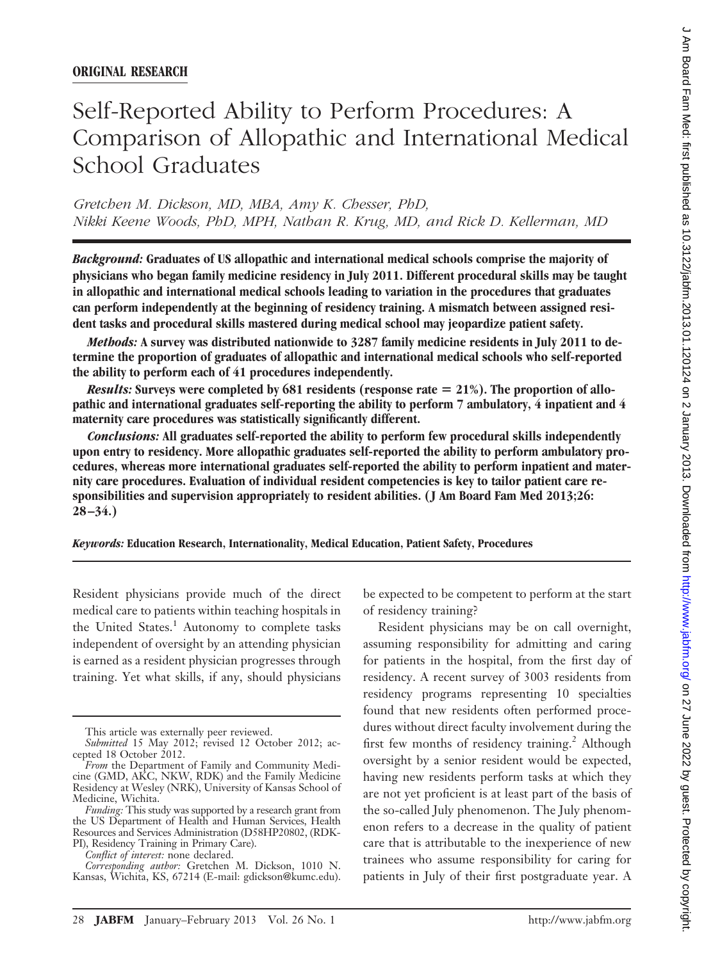# Self-Reported Ability to Perform Procedures: A Comparison of Allopathic and International Medical School Graduates

*Gretchen M. Dickson, MD, MBA, Amy K. Chesser, PhD, Nikki Keene Woods, PhD, MPH, Nathan R. Krug, MD, and Rick D. Kellerman, MD*

*Background:* **Graduates of US allopathic and international medical schools comprise the majority of physicians who began family medicine residency in July 2011. Different procedural skills may be taught in allopathic and international medical schools leading to variation in the procedures that graduates can perform independently at the beginning of residency training. A mismatch between assigned resident tasks and procedural skills mastered during medical school may jeopardize patient safety.**

*Methods:* **A survey was distributed nationwide to 3287 family medicine residents in July 2011 to determine the proportion of graduates of allopathic and international medical schools who self-reported the ability to perform each of 41 procedures independently.**

*Results:* **Surveys were completed by 681 residents (response rate 21%). The proportion of allopathic and international graduates self-reporting the ability to perform 7 ambulatory, 4 inpatient and 4 maternity care procedures was statistically significantly different.**

*Conclusions:* **All graduates self-reported the ability to perform few procedural skills independently upon entry to residency. More allopathic graduates self-reported the ability to perform ambulatory procedures, whereas more international graduates self-reported the ability to perform inpatient and maternity care procedures. Evaluation of individual resident competencies is key to tailor patient care responsibilities and supervision appropriately to resident abilities. ( J Am Board Fam Med 2013;26: 28 –34.)**

*Keywords:* **Education Research, Internationality, Medical Education, Patient Safety, Procedures**

Resident physicians provide much of the direct medical care to patients within teaching hospitals in the United States.<sup>1</sup> Autonomy to complete tasks independent of oversight by an attending physician is earned as a resident physician progresses through training. Yet what skills, if any, should physicians

be expected to be competent to perform at the start of residency training?

Resident physicians may be on call overnight, assuming responsibility for admitting and caring for patients in the hospital, from the first day of residency. A recent survey of 3003 residents from residency programs representing 10 specialties found that new residents often performed procedures without direct faculty involvement during the first few months of residency training.<sup>2</sup> Although oversight by a senior resident would be expected, having new residents perform tasks at which they are not yet proficient is at least part of the basis of the so-called July phenomenon. The July phenomenon refers to a decrease in the quality of patient care that is attributable to the inexperience of new trainees who assume responsibility for caring for patients in July of their first postgraduate year. A

This article was externally peer reviewed.

*Submitted* 15 May 2012; revised 12 October 2012; accepted 18 October 2012.

*From* the Department of Family and Community Medicine (GMD, AKC, NKW, RDK) and the Family Medicine Residency at Wesley (NRK), University of Kansas School of Medicine, Wichita.

*Funding:* This study was supported by a research grant from the US Department of Health and Human Services, Health Resources and Services Administration (D58HP20802, (RDK-PI), Residency Training in Primary Care).

*Conflict of interest:* none declared.

*Corresponding author:* Gretchen M. Dickson, 1010 N. Kansas, Wichita, KS, 67214 (E-mail: gdickson@kumc.edu).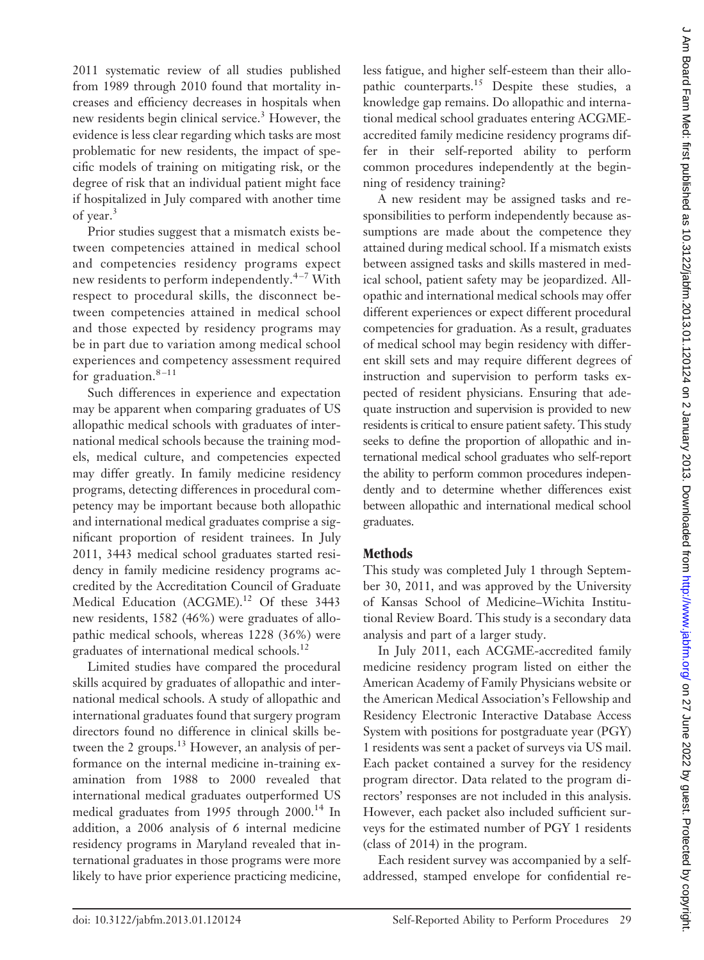2011 systematic review of all studies published from 1989 through 2010 found that mortality increases and efficiency decreases in hospitals when new residents begin clinical service.<sup>3</sup> However, the evidence is less clear regarding which tasks are most problematic for new residents, the impact of specific models of training on mitigating risk, or the degree of risk that an individual patient might face if hospitalized in July compared with another time of year.<sup>3</sup>

Prior studies suggest that a mismatch exists between competencies attained in medical school and competencies residency programs expect new residents to perform independently. $4-7$  With respect to procedural skills, the disconnect between competencies attained in medical school and those expected by residency programs may be in part due to variation among medical school experiences and competency assessment required for graduation. $8-11$ 

Such differences in experience and expectation may be apparent when comparing graduates of US allopathic medical schools with graduates of international medical schools because the training models, medical culture, and competencies expected may differ greatly. In family medicine residency programs, detecting differences in procedural competency may be important because both allopathic and international medical graduates comprise a significant proportion of resident trainees. In July 2011, 3443 medical school graduates started residency in family medicine residency programs accredited by the Accreditation Council of Graduate Medical Education (ACGME).<sup>12</sup> Of these 3443 new residents, 1582 (46%) were graduates of allopathic medical schools, whereas 1228 (36%) were graduates of international medical schools.<sup>12</sup>

Limited studies have compared the procedural skills acquired by graduates of allopathic and international medical schools. A study of allopathic and international graduates found that surgery program directors found no difference in clinical skills between the 2 groups.<sup>13</sup> However, an analysis of performance on the internal medicine in-training examination from 1988 to 2000 revealed that international medical graduates outperformed US medical graduates from 1995 through 2000.<sup>14</sup> In addition, a 2006 analysis of 6 internal medicine residency programs in Maryland revealed that international graduates in those programs were more likely to have prior experience practicing medicine,

less fatigue, and higher self-esteem than their allopathic counterparts.<sup>15</sup> Despite these studies, a knowledge gap remains. Do allopathic and international medical school graduates entering ACGMEaccredited family medicine residency programs differ in their self-reported ability to perform common procedures independently at the beginning of residency training?

A new resident may be assigned tasks and responsibilities to perform independently because assumptions are made about the competence they attained during medical school. If a mismatch exists between assigned tasks and skills mastered in medical school, patient safety may be jeopardized. Allopathic and international medical schools may offer different experiences or expect different procedural competencies for graduation. As a result, graduates of medical school may begin residency with different skill sets and may require different degrees of instruction and supervision to perform tasks expected of resident physicians. Ensuring that adequate instruction and supervision is provided to new residents is critical to ensure patient safety. This study seeks to define the proportion of allopathic and international medical school graduates who self-report the ability to perform common procedures independently and to determine whether differences exist between allopathic and international medical school graduates.

## **Methods**

This study was completed July 1 through September 30, 2011, and was approved by the University of Kansas School of Medicine–Wichita Institutional Review Board. This study is a secondary data analysis and part of a larger study.

In July 2011, each ACGME-accredited family medicine residency program listed on either the American Academy of Family Physicians website or the American Medical Association's Fellowship and Residency Electronic Interactive Database Access System with positions for postgraduate year (PGY) 1 residents was sent a packet of surveys via US mail. Each packet contained a survey for the residency program director. Data related to the program directors' responses are not included in this analysis. However, each packet also included sufficient surveys for the estimated number of PGY 1 residents (class of 2014) in the program.

Each resident survey was accompanied by a selfaddressed, stamped envelope for confidential re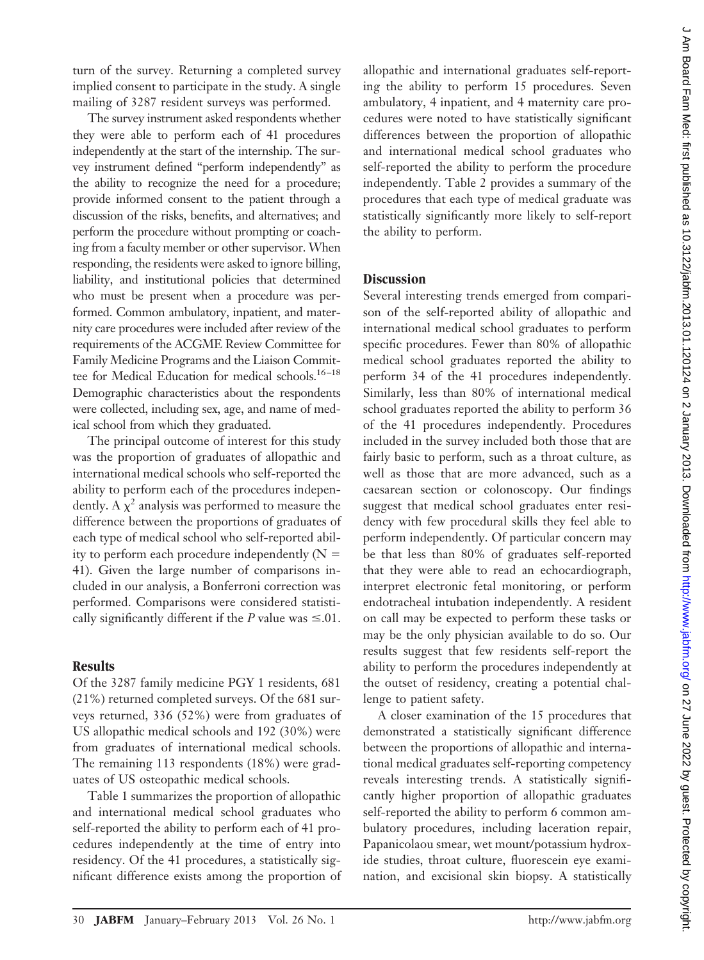turn of the survey. Returning a completed survey implied consent to participate in the study. A single mailing of 3287 resident surveys was performed.

The survey instrument asked respondents whether they were able to perform each of 41 procedures independently at the start of the internship. The survey instrument defined "perform independently" as the ability to recognize the need for a procedure; provide informed consent to the patient through a discussion of the risks, benefits, and alternatives; and perform the procedure without prompting or coaching from a faculty member or other supervisor. When responding, the residents were asked to ignore billing, liability, and institutional policies that determined who must be present when a procedure was performed. Common ambulatory, inpatient, and maternity care procedures were included after review of the requirements of the ACGME Review Committee for Family Medicine Programs and the Liaison Committee for Medical Education for medical schools.<sup>16-18</sup> Demographic characteristics about the respondents were collected, including sex, age, and name of medical school from which they graduated.

The principal outcome of interest for this study was the proportion of graduates of allopathic and international medical schools who self-reported the ability to perform each of the procedures independently. A  $\chi^2$  analysis was performed to measure the difference between the proportions of graduates of each type of medical school who self-reported ability to perform each procedure independently  $(N =$ 41). Given the large number of comparisons included in our analysis, a Bonferroni correction was performed. Comparisons were considered statistically significantly different if the *P* value was  $\leq 0.01$ .

### **Results**

Of the 3287 family medicine PGY 1 residents, 681 (21%) returned completed surveys. Of the 681 surveys returned, 336 (52%) were from graduates of US allopathic medical schools and 192 (30%) were from graduates of international medical schools. The remaining 113 respondents (18%) were graduates of US osteopathic medical schools.

Table 1 summarizes the proportion of allopathic and international medical school graduates who self-reported the ability to perform each of 41 procedures independently at the time of entry into residency. Of the 41 procedures, a statistically significant difference exists among the proportion of allopathic and international graduates self-reporting the ability to perform 15 procedures. Seven ambulatory, 4 inpatient, and 4 maternity care procedures were noted to have statistically significant differences between the proportion of allopathic and international medical school graduates who self-reported the ability to perform the procedure independently. Table 2 provides a summary of the procedures that each type of medical graduate was statistically significantly more likely to self-report the ability to perform.

#### **Discussion**

Several interesting trends emerged from comparison of the self-reported ability of allopathic and international medical school graduates to perform specific procedures. Fewer than 80% of allopathic medical school graduates reported the ability to perform 34 of the 41 procedures independently. Similarly, less than 80% of international medical school graduates reported the ability to perform 36 of the 41 procedures independently. Procedures included in the survey included both those that are fairly basic to perform, such as a throat culture, as well as those that are more advanced, such as a caesarean section or colonoscopy. Our findings suggest that medical school graduates enter residency with few procedural skills they feel able to perform independently. Of particular concern may be that less than 80% of graduates self-reported that they were able to read an echocardiograph, interpret electronic fetal monitoring, or perform endotracheal intubation independently. A resident on call may be expected to perform these tasks or may be the only physician available to do so. Our results suggest that few residents self-report the ability to perform the procedures independently at the outset of residency, creating a potential challenge to patient safety.

A closer examination of the 15 procedures that demonstrated a statistically significant difference between the proportions of allopathic and international medical graduates self-reporting competency reveals interesting trends. A statistically significantly higher proportion of allopathic graduates self-reported the ability to perform 6 common ambulatory procedures, including laceration repair, Papanicolaou smear, wet mount/potassium hydroxide studies, throat culture, fluorescein eye examination, and excisional skin biopsy. A statistically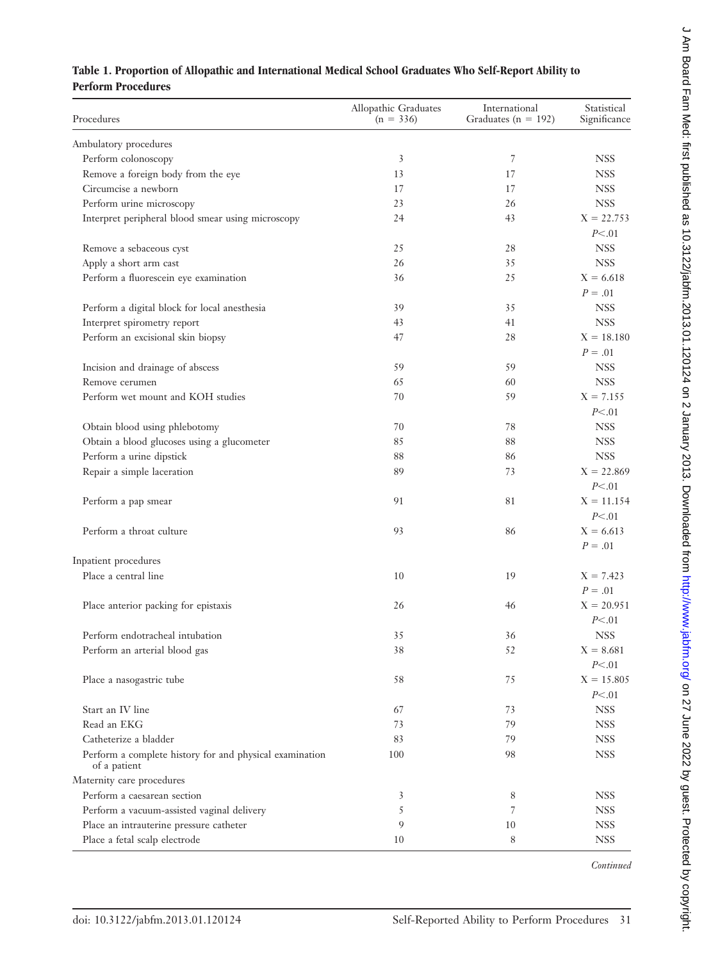## **Table 1. Proportion of Allopathic and International Medical School Graduates Who Self-Report Ability to Perform Procedures**

| Procedures                                                              | Allopathic Graduates<br>$(n = 336)$ | International<br>Graduates ( $n = 192$ ) | Statistical<br>Significance |
|-------------------------------------------------------------------------|-------------------------------------|------------------------------------------|-----------------------------|
| Ambulatory procedures                                                   |                                     |                                          |                             |
| Perform colonoscopy                                                     | 3                                   | 7                                        | <b>NSS</b>                  |
| Remove a foreign body from the eye                                      | 13                                  | 17                                       | <b>NSS</b>                  |
| Circumcise a newborn                                                    | 17                                  | 17                                       | <b>NSS</b>                  |
| Perform urine microscopy                                                | 23                                  | 26                                       | <b>NSS</b>                  |
| Interpret peripheral blood smear using microscopy                       | 24                                  | 43                                       | $X = 22.753$<br>P<.01       |
| Remove a sebaceous cyst                                                 | 25                                  | 28                                       | <b>NSS</b>                  |
| Apply a short arm cast                                                  | 26                                  | 35                                       | <b>NSS</b>                  |
| Perform a fluorescein eye examination                                   | 36                                  | 25                                       | $X = 6.618$                 |
|                                                                         |                                     |                                          | $P=.01$                     |
|                                                                         | 39                                  |                                          | <b>NSS</b>                  |
| Perform a digital block for local anesthesia                            |                                     | 35                                       | <b>NSS</b>                  |
| Interpret spirometry report                                             | 43                                  | 41                                       |                             |
| Perform an excisional skin biopsy                                       | 47                                  | 28                                       | $X = 18.180$<br>$P=.01$     |
| Incision and drainage of abscess                                        | 59                                  | 59                                       | <b>NSS</b>                  |
| Remove cerumen                                                          | 65                                  | 60                                       | <b>NSS</b>                  |
| Perform wet mount and KOH studies                                       | 70                                  | 59                                       | $X = 7.155$                 |
|                                                                         |                                     |                                          | P<.01                       |
| Obtain blood using phlebotomy                                           | 70                                  | 78                                       | <b>NSS</b>                  |
| Obtain a blood glucoses using a glucometer                              | 85                                  | 88                                       | <b>NSS</b>                  |
| Perform a urine dipstick                                                | 88                                  | 86                                       | <b>NSS</b>                  |
| Repair a simple laceration                                              | 89                                  | 73                                       | $X = 22.869$                |
|                                                                         |                                     |                                          | P<.01                       |
| Perform a pap smear                                                     | 91                                  | 81                                       | $X = 11.154$                |
|                                                                         |                                     |                                          | P<.01                       |
| Perform a throat culture                                                | 93                                  | 86                                       | $X = 6.613$                 |
|                                                                         |                                     |                                          | $P = .01$                   |
| Inpatient procedures                                                    |                                     |                                          |                             |
| Place a central line                                                    | 10                                  | 19                                       | $X = 7.423$<br>$P=.01$      |
| Place anterior packing for epistaxis                                    | 26                                  | 46                                       | $X = 20.951$                |
|                                                                         |                                     |                                          | P<.01                       |
| Perform endotracheal intubation                                         | 35                                  | 36                                       | <b>NSS</b>                  |
| Perform an arterial blood gas                                           | 38                                  | 52                                       | $X = 8.681$                 |
|                                                                         |                                     |                                          | P<.01                       |
|                                                                         | 58                                  | 75                                       | $X = 15.805$                |
| Place a nasogastric tube                                                |                                     |                                          | P<.01                       |
| Start an IV line                                                        | 67                                  | 73                                       | <b>NSS</b>                  |
| Read an EKG                                                             |                                     | 79                                       | <b>NSS</b>                  |
|                                                                         | 73                                  |                                          |                             |
| Catheterize a bladder                                                   | 83                                  | 79                                       | <b>NSS</b>                  |
| Perform a complete history for and physical examination<br>of a patient | 100                                 | 98                                       | <b>NSS</b>                  |
| Maternity care procedures                                               |                                     |                                          |                             |
| Perform a caesarean section                                             | 3                                   | 8                                        | <b>NSS</b>                  |
| Perform a vacuum-assisted vaginal delivery                              | 5                                   | 7                                        | <b>NSS</b>                  |
| Place an intrauterine pressure catheter                                 | 9                                   | 10                                       | <b>NSS</b>                  |
| Place a fetal scalp electrode                                           | 10                                  | 8                                        | <b>NSS</b>                  |

J Am Board Fam Med: first published as 10.3122/jabfm.2013.01.120124 on 2 January 2013. Downloaded from http://www.jabfm.org/ on 27 June 2022 by guest. Protected by copyright. d Am Board Fam Med: first published as 10.312210.01.1201.1201.120124 on 2 January Am Med: frotected from Media Board Board By Fam Media Board Fam Media Board By Fam Media Board By Sopyright. Protected by copyright.

*Continued*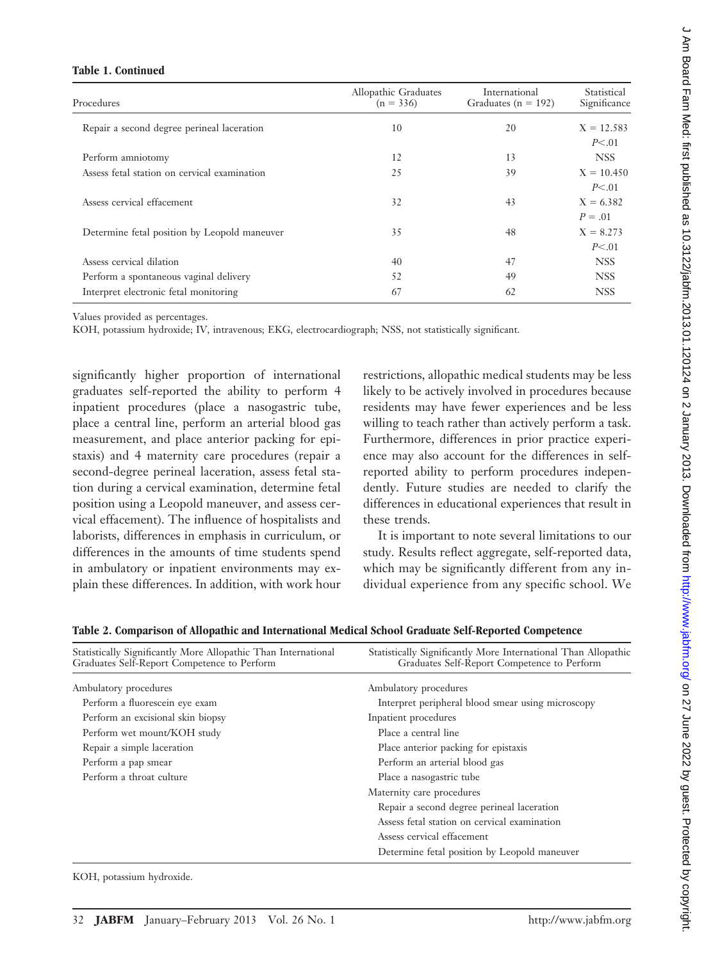#### **Table 1. Continued**

| Procedures                                   | Allopathic Graduates<br>$(n = 336)$ | International<br>Graduates ( $n = 192$ ) | Statistical<br>Significance |
|----------------------------------------------|-------------------------------------|------------------------------------------|-----------------------------|
| Repair a second degree perineal laceration   | 10                                  | 20                                       | $X = 12.583$<br>P<.01       |
| Perform amniotomy                            | 12                                  | 13                                       | <b>NSS</b>                  |
| Assess fetal station on cervical examination | 25                                  | 39                                       | $X = 10.450$<br>P<.01       |
| Assess cervical effacement                   | 32                                  | 43                                       | $X = 6.382$<br>$P = .01$    |
| Determine fetal position by Leopold maneuver | 35                                  | 48                                       | $X = 8.273$<br>P<.01        |
| Assess cervical dilation                     | 40                                  | 47                                       | <b>NSS</b>                  |
| Perform a spontaneous vaginal delivery       | 52                                  | 49                                       | <b>NSS</b>                  |
| Interpret electronic fetal monitoring        | 67                                  | 62                                       | <b>NSS</b>                  |

Values provided as percentages.

KOH, potassium hydroxide; IV, intravenous; EKG, electrocardiograph; NSS, not statistically significant.

significantly higher proportion of international graduates self-reported the ability to perform 4 inpatient procedures (place a nasogastric tube, place a central line, perform an arterial blood gas measurement, and place anterior packing for epistaxis) and 4 maternity care procedures (repair a second-degree perineal laceration, assess fetal station during a cervical examination, determine fetal position using a Leopold maneuver, and assess cervical effacement). The influence of hospitalists and laborists, differences in emphasis in curriculum, or differences in the amounts of time students spend in ambulatory or inpatient environments may explain these differences. In addition, with work hour

restrictions, allopathic medical students may be less likely to be actively involved in procedures because residents may have fewer experiences and be less willing to teach rather than actively perform a task. Furthermore, differences in prior practice experience may also account for the differences in selfreported ability to perform procedures independently. Future studies are needed to clarify the differences in educational experiences that result in these trends.

It is important to note several limitations to our study. Results reflect aggregate, self-reported data, which may be significantly different from any individual experience from any specific school. We

| Statistically Significantly More Allopathic Than International<br>Graduates Self-Report Competence to Perform | Statistically Significantly More International Than Allopathic<br>Graduates Self-Report Competence to Perform |
|---------------------------------------------------------------------------------------------------------------|---------------------------------------------------------------------------------------------------------------|
| Ambulatory procedures                                                                                         | Ambulatory procedures                                                                                         |
| Perform a fluorescein eye exam                                                                                | Interpret peripheral blood smear using microscopy                                                             |
| Perform an excisional skin biopsy                                                                             | Inpatient procedures                                                                                          |
| Perform wet mount/KOH study                                                                                   | Place a central line                                                                                          |
| Repair a simple laceration                                                                                    | Place anterior packing for epistaxis                                                                          |
| Perform a pap smear                                                                                           | Perform an arterial blood gas                                                                                 |
| Perform a throat culture                                                                                      | Place a nasogastric tube                                                                                      |
|                                                                                                               | Maternity care procedures                                                                                     |
|                                                                                                               | Repair a second degree perineal laceration                                                                    |
|                                                                                                               | Assess fetal station on cervical examination                                                                  |
|                                                                                                               | Assess cervical effacement                                                                                    |
|                                                                                                               | Determine fetal position by Leopold maneuver                                                                  |

**Table 2. Comparison of Allopathic and International Medical School Graduate Self-Reported Competence**

KOH, potassium hydroxide.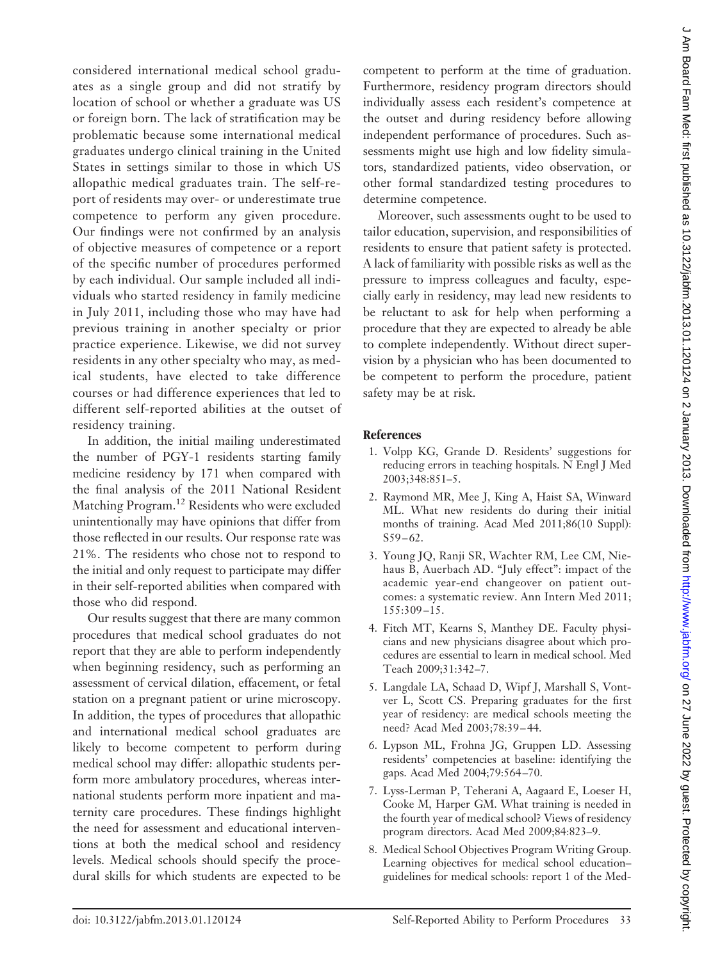considered international medical school graduates as a single group and did not stratify by location of school or whether a graduate was US or foreign born. The lack of stratification may be problematic because some international medical graduates undergo clinical training in the United States in settings similar to those in which US allopathic medical graduates train. The self-report of residents may over- or underestimate true competence to perform any given procedure. Our findings were not confirmed by an analysis of objective measures of competence or a report of the specific number of procedures performed by each individual. Our sample included all individuals who started residency in family medicine in July 2011, including those who may have had previous training in another specialty or prior practice experience. Likewise, we did not survey residents in any other specialty who may, as medical students, have elected to take difference courses or had difference experiences that led to different self-reported abilities at the outset of residency training.

In addition, the initial mailing underestimated the number of PGY-1 residents starting family medicine residency by 171 when compared with the final analysis of the 2011 National Resident Matching Program.12 Residents who were excluded unintentionally may have opinions that differ from those reflected in our results. Our response rate was 21%. The residents who chose not to respond to the initial and only request to participate may differ in their self-reported abilities when compared with those who did respond.

Our results suggest that there are many common procedures that medical school graduates do not report that they are able to perform independently when beginning residency, such as performing an assessment of cervical dilation, effacement, or fetal station on a pregnant patient or urine microscopy. In addition, the types of procedures that allopathic and international medical school graduates are likely to become competent to perform during medical school may differ: allopathic students perform more ambulatory procedures, whereas international students perform more inpatient and maternity care procedures. These findings highlight the need for assessment and educational interventions at both the medical school and residency levels. Medical schools should specify the procedural skills for which students are expected to be

competent to perform at the time of graduation. Furthermore, residency program directors should individually assess each resident's competence at the outset and during residency before allowing independent performance of procedures. Such assessments might use high and low fidelity simulators, standardized patients, video observation, or other formal standardized testing procedures to determine competence.

Moreover, such assessments ought to be used to tailor education, supervision, and responsibilities of residents to ensure that patient safety is protected. A lack of familiarity with possible risks as well as the pressure to impress colleagues and faculty, especially early in residency, may lead new residents to be reluctant to ask for help when performing a procedure that they are expected to already be able to complete independently. Without direct supervision by a physician who has been documented to be competent to perform the procedure, patient safety may be at risk.

## **References**

- 1. Volpp KG, Grande D. Residents' suggestions for reducing errors in teaching hospitals. N Engl J Med 2003;348:851–5.
- 2. Raymond MR, Mee J, King A, Haist SA, Winward ML. What new residents do during their initial months of training. Acad Med 2011;86(10 Suppl):  $S59 - 62.$
- 3. Young JQ, Ranji SR, Wachter RM, Lee CM, Niehaus B, Auerbach AD. "July effect": impact of the academic year-end changeover on patient outcomes: a systematic review. Ann Intern Med 2011; 155:309 –15.
- 4. Fitch MT, Kearns S, Manthey DE. Faculty physicians and new physicians disagree about which procedures are essential to learn in medical school. Med Teach 2009;31:342–7.
- 5. Langdale LA, Schaad D, Wipf J, Marshall S, Vontver L, Scott CS. Preparing graduates for the first year of residency: are medical schools meeting the need? Acad Med 2003;78:39 – 44.
- 6. Lypson ML, Frohna JG, Gruppen LD. Assessing residents' competencies at baseline: identifying the gaps. Acad Med 2004;79:564 –70.
- 7. Lyss-Lerman P, Teherani A, Aagaard E, Loeser H, Cooke M, Harper GM. What training is needed in the fourth year of medical school? Views of residency program directors. Acad Med 2009;84:823–9.
- 8. Medical School Objectives Program Writing Group. Learning objectives for medical school education– guidelines for medical schools: report 1 of the Med-